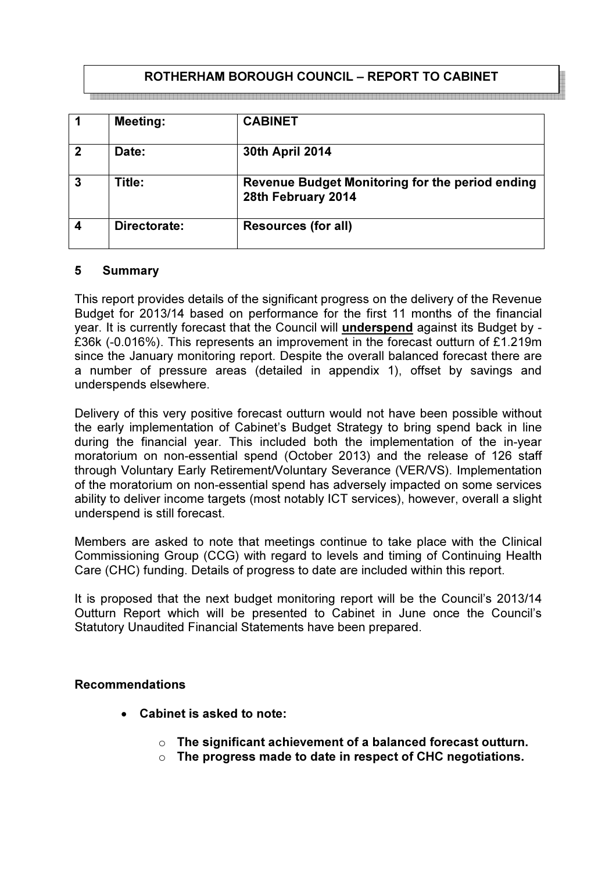# ROTHERHAM BOROUGH COUNCIL – REPORT TO CABINET

|             | <b>Meeting:</b> | <b>CABINET</b>                                                        |
|-------------|-----------------|-----------------------------------------------------------------------|
| $\mathbf 2$ | Date:           | 30th April 2014                                                       |
| 3           | Title:          | Revenue Budget Monitoring for the period ending<br>28th February 2014 |
|             | Directorate:    | <b>Resources (for all)</b>                                            |

#### 5 Summary

This report provides details of the significant progress on the delivery of the Revenue Budget for 2013/14 based on performance for the first 11 months of the financial year. It is currently forecast that the Council will underspend against its Budget by - £36k (-0.016%). This represents an improvement in the forecast outturn of £1.219m since the January monitoring report. Despite the overall balanced forecast there are a number of pressure areas (detailed in appendix 1), offset by savings and underspends elsewhere.

Delivery of this very positive forecast outturn would not have been possible without the early implementation of Cabinet's Budget Strategy to bring spend back in line during the financial year. This included both the implementation of the in-year moratorium on non-essential spend (October 2013) and the release of 126 staff through Voluntary Early Retirement/Voluntary Severance (VER/VS). Implementation of the moratorium on non-essential spend has adversely impacted on some services ability to deliver income targets (most notably ICT services), however, overall a slight underspend is still forecast.

Members are asked to note that meetings continue to take place with the Clinical Commissioning Group (CCG) with regard to levels and timing of Continuing Health Care (CHC) funding. Details of progress to date are included within this report.

It is proposed that the next budget monitoring report will be the Council's 2013/14 Outturn Report which will be presented to Cabinet in June once the Council's Statutory Unaudited Financial Statements have been prepared.

### Recommendations

- Cabinet is asked to note:
	- $\circ$  The significant achievement of a balanced forecast outturn.
	- $\circ$  The progress made to date in respect of CHC negotiations.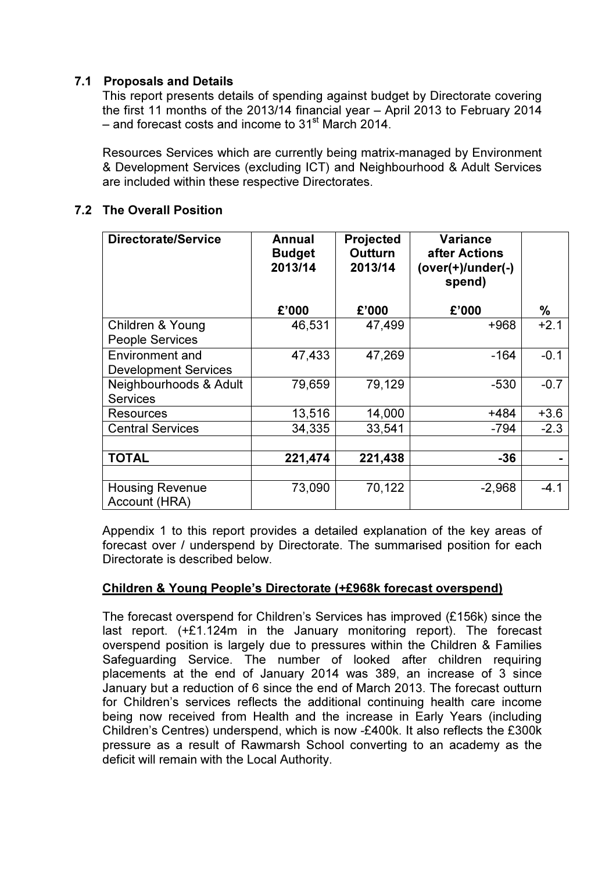# 7.1 Proposals and Details

This report presents details of spending against budget by Directorate covering the first 11 months of the 2013/14 financial year – April 2013 to February 2014 – and forecast costs and income to  $31<sup>st</sup>$  March 2014.

Resources Services which are currently being matrix-managed by Environment & Development Services (excluding ICT) and Neighbourhood & Adult Services are included within these respective Directorates.

# 7.2 The Overall Position

| <b>Directorate/Service</b>                            | Annual<br><b>Budget</b><br>2013/14 | <b>Projected</b><br><b>Outturn</b><br>2013/14 | Variance<br>after Actions<br>(over(+)/under(-)<br>spend) |        |
|-------------------------------------------------------|------------------------------------|-----------------------------------------------|----------------------------------------------------------|--------|
|                                                       | £'000                              | £'000                                         | £'000                                                    | %      |
| Children & Young<br><b>People Services</b>            | 46,531                             | 47,499                                        | $+968$                                                   | $+2.1$ |
| <b>Environment and</b><br><b>Development Services</b> | 47,433                             | 47,269                                        | -164                                                     | $-0.1$ |
| Neighbourhoods & Adult<br><b>Services</b>             | 79,659                             | 79,129                                        | $-530$                                                   | $-0.7$ |
| Resources                                             | 13,516                             | 14,000                                        | +484                                                     | $+3.6$ |
| <b>Central Services</b>                               | 34,335                             | 33,541                                        | $-794$                                                   | $-2.3$ |
| <b>TOTAL</b>                                          | 221,474                            | 221,438                                       | $-36$                                                    |        |
| <b>Housing Revenue</b><br>Account (HRA)               | 73,090                             | 70,122                                        | $-2,968$                                                 | $-4.1$ |

 Appendix 1 to this report provides a detailed explanation of the key areas of forecast over / underspend by Directorate. The summarised position for each Directorate is described below.

# Children & Young People's Directorate (+£968k forecast overspend)

The forecast overspend for Children's Services has improved (£156k) since the last report. (+£1.124m in the January monitoring report). The forecast overspend position is largely due to pressures within the Children & Families Safeguarding Service. The number of looked after children requiring placements at the end of January 2014 was 389, an increase of 3 since January but a reduction of 6 since the end of March 2013. The forecast outturn for Children's services reflects the additional continuing health care income being now received from Health and the increase in Early Years (including Children's Centres) underspend, which is now -£400k. It also reflects the £300k pressure as a result of Rawmarsh School converting to an academy as the deficit will remain with the Local Authority.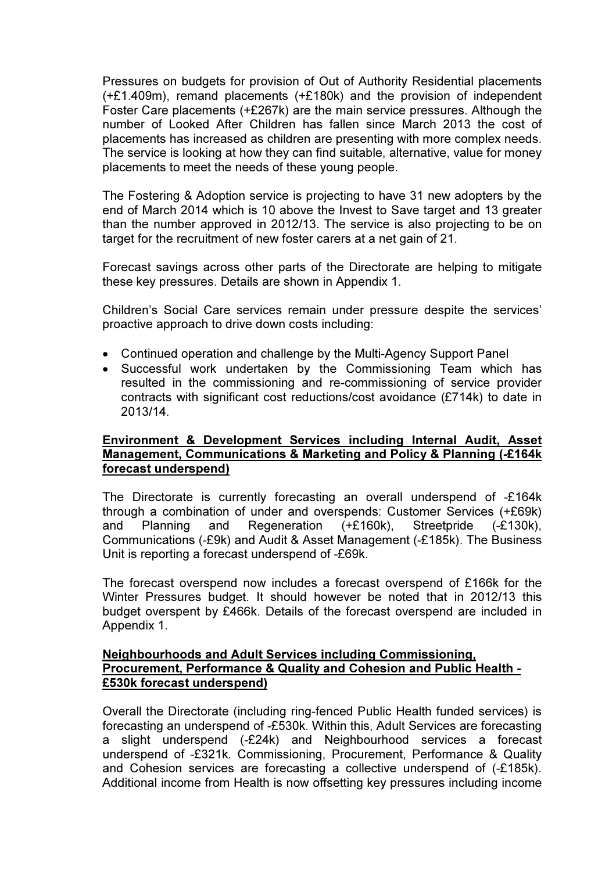Pressures on budgets for provision of Out of Authority Residential placements (+£1.409m), remand placements (+£180k) and the provision of independent Foster Care placements (+£267k) are the main service pressures. Although the number of Looked After Children has fallen since March 2013 the cost of placements has increased as children are presenting with more complex needs. The service is looking at how they can find suitable, alternative, value for money placements to meet the needs of these young people.

The Fostering & Adoption service is projecting to have 31 new adopters by the end of March 2014 which is 10 above the Invest to Save target and 13 greater than the number approved in 2012/13. The service is also projecting to be on target for the recruitment of new foster carers at a net gain of 21.

Forecast savings across other parts of the Directorate are helping to mitigate these key pressures. Details are shown in Appendix 1.

Children's Social Care services remain under pressure despite the services' proactive approach to drive down costs including:

- Continued operation and challenge by the Multi-Agency Support Panel
- Successful work undertaken by the Commissioning Team which has resulted in the commissioning and re-commissioning of service provider contracts with significant cost reductions/cost avoidance (£714k) to date in 2013/14.

### Environment & Development Services including Internal Audit, Asset Management, Communications & Marketing and Policy & Planning (-£164k forecast underspend)

 The Directorate is currently forecasting an overall underspend of -£164k through a combination of under and overspends: Customer Services (+£69k) and Planning and Regeneration (+£160k), Streetpride (-£130k), Communications (-£9k) and Audit & Asset Management (-£185k). The Business Unit is reporting a forecast underspend of -£69k.

 The forecast overspend now includes a forecast overspend of £166k for the Winter Pressures budget. It should however be noted that in 2012/13 this budget overspent by £466k. Details of the forecast overspend are included in Appendix 1.

#### Neighbourhoods and Adult Services including Commissioning, Procurement, Performance & Quality and Cohesion and Public Health - £530k forecast underspend)

Overall the Directorate (including ring-fenced Public Health funded services) is forecasting an underspend of -£530k. Within this, Adult Services are forecasting a slight underspend (-£24k) and Neighbourhood services a forecast underspend of -£321k. Commissioning, Procurement, Performance & Quality and Cohesion services are forecasting a collective underspend of (-£185k). Additional income from Health is now offsetting key pressures including income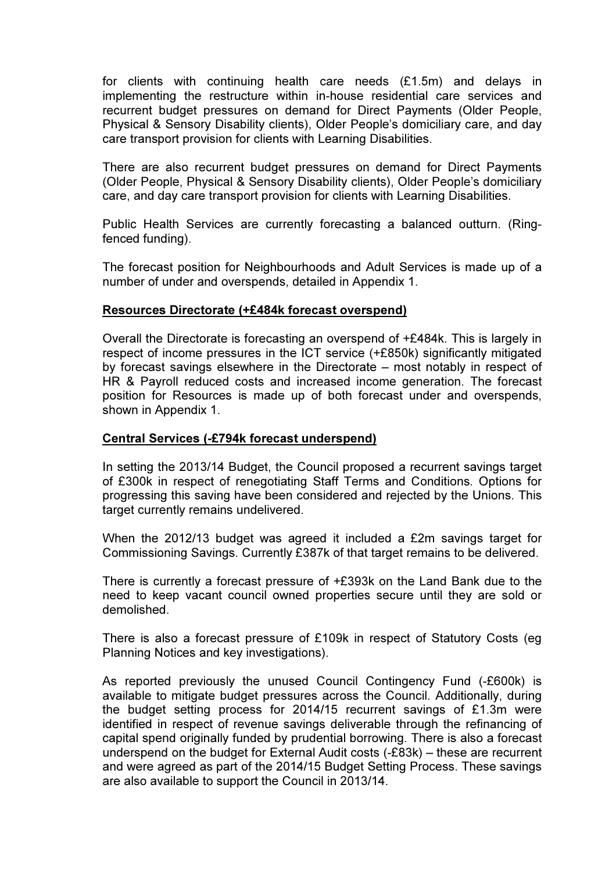for clients with continuing health care needs (£1.5m) and delays in implementing the restructure within in-house residential care services and recurrent budget pressures on demand for Direct Payments (Older People, Physical & Sensory Disability clients), Older People's domiciliary care, and day care transport provision for clients with Learning Disabilities.

There are also recurrent budget pressures on demand for Direct Payments (Older People, Physical & Sensory Disability clients), Older People's domiciliary care, and day care transport provision for clients with Learning Disabilities.

Public Health Services are currently forecasting a balanced outturn. (Ringfenced funding).

The forecast position for Neighbourhoods and Adult Services is made up of a number of under and overspends, detailed in Appendix 1.

#### Resources Directorate (+£484k forecast overspend)

Overall the Directorate is forecasting an overspend of +£484k. This is largely in respect of income pressures in the ICT service (+£850k) significantly mitigated by forecast savings elsewhere in the Directorate – most notably in respect of HR & Payroll reduced costs and increased income generation. The forecast position for Resources is made up of both forecast under and overspends, shown in Appendix 1.

#### Central Services (-£794k forecast underspend)

In setting the 2013/14 Budget, the Council proposed a recurrent savings target of £300k in respect of renegotiating Staff Terms and Conditions. Options for progressing this saving have been considered and rejected by the Unions. This target currently remains undelivered.

When the 2012/13 budget was agreed it included a £2m savings target for Commissioning Savings. Currently £387k of that target remains to be delivered.

There is currently a forecast pressure of +£393k on the Land Bank due to the need to keep vacant council owned properties secure until they are sold or demolished.

There is also a forecast pressure of £109k in respect of Statutory Costs (eg Planning Notices and key investigations).

As reported previously the unused Council Contingency Fund (-£600k) is available to mitigate budget pressures across the Council. Additionally, during the budget setting process for 2014/15 recurrent savings of £1.3m were identified in respect of revenue savings deliverable through the refinancing of capital spend originally funded by prudential borrowing. There is also a forecast underspend on the budget for External Audit costs (-£83k) – these are recurrent and were agreed as part of the 2014/15 Budget Setting Process. These savings are also available to support the Council in 2013/14.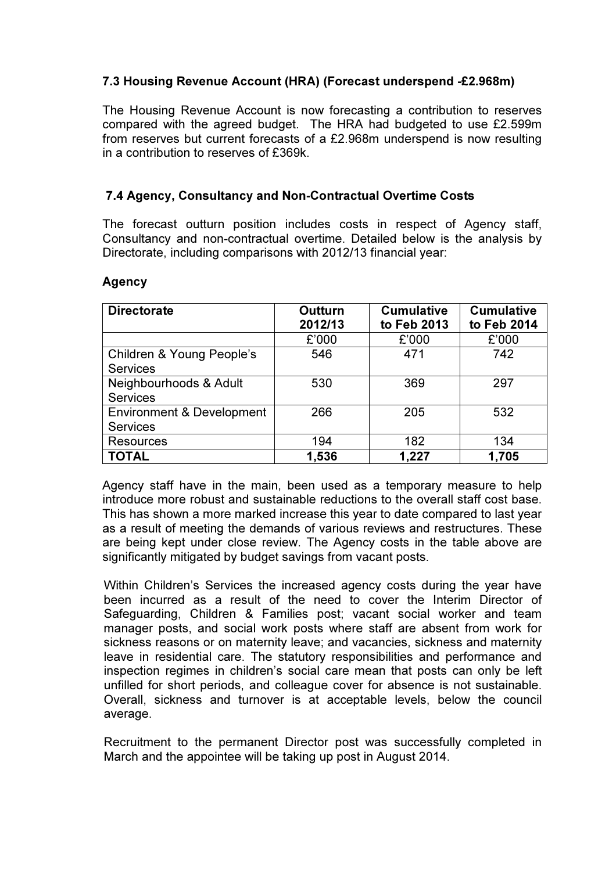## 7.3 Housing Revenue Account (HRA) (Forecast underspend -£2.968m)

The Housing Revenue Account is now forecasting a contribution to reserves compared with the agreed budget. The HRA had budgeted to use £2.599m from reserves but current forecasts of a £2.968m underspend is now resulting in a contribution to reserves of £369k.

### 7.4 Agency, Consultancy and Non-Contractual Overtime Costs

The forecast outturn position includes costs in respect of Agency staff, Consultancy and non-contractual overtime. Detailed below is the analysis by Directorate, including comparisons with 2012/13 financial year:

#### Agency

| <b>Directorate</b>                                      | <b>Outturn</b><br>2012/13 | <b>Cumulative</b><br>to Feb 2013 | <b>Cumulative</b><br>to Feb 2014 |
|---------------------------------------------------------|---------------------------|----------------------------------|----------------------------------|
|                                                         | £'000                     | £'000                            | £'000                            |
| Children & Young People's<br><b>Services</b>            | 546                       | 471                              | 742                              |
| Neighbourhoods & Adult<br><b>Services</b>               | 530                       | 369                              | 297                              |
| <b>Environment &amp; Development</b><br><b>Services</b> | 266                       | 205                              | 532                              |
| <b>Resources</b>                                        | 194                       | 182                              | 134                              |
| <b>TOTAL</b>                                            | 1,536                     | 1,227                            | 1,705                            |

Agency staff have in the main, been used as a temporary measure to help introduce more robust and sustainable reductions to the overall staff cost base. This has shown a more marked increase this year to date compared to last year as a result of meeting the demands of various reviews and restructures. These are being kept under close review. The Agency costs in the table above are significantly mitigated by budget savings from vacant posts.

Within Children's Services the increased agency costs during the year have been incurred as a result of the need to cover the Interim Director of Safeguarding, Children & Families post; vacant social worker and team manager posts, and social work posts where staff are absent from work for sickness reasons or on maternity leave; and vacancies, sickness and maternity leave in residential care. The statutory responsibilities and performance and inspection regimes in children's social care mean that posts can only be left unfilled for short periods, and colleague cover for absence is not sustainable. Overall, sickness and turnover is at acceptable levels, below the council average.

Recruitment to the permanent Director post was successfully completed in March and the appointee will be taking up post in August 2014.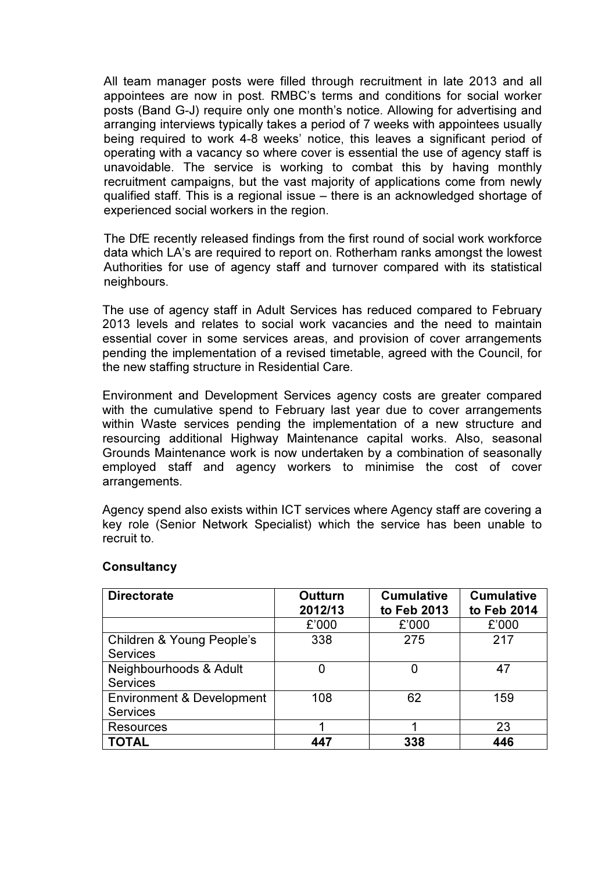All team manager posts were filled through recruitment in late 2013 and all appointees are now in post. RMBC's terms and conditions for social worker posts (Band G-J) require only one month's notice. Allowing for advertising and arranging interviews typically takes a period of 7 weeks with appointees usually being required to work 4-8 weeks' notice, this leaves a significant period of operating with a vacancy so where cover is essential the use of agency staff is unavoidable. The service is working to combat this by having monthly recruitment campaigns, but the vast majority of applications come from newly qualified staff. This is a regional issue – there is an acknowledged shortage of experienced social workers in the region.

The DfE recently released findings from the first round of social work workforce data which LA's are required to report on. Rotherham ranks amongst the lowest Authorities for use of agency staff and turnover compared with its statistical neighbours.

The use of agency staff in Adult Services has reduced compared to February 2013 levels and relates to social work vacancies and the need to maintain essential cover in some services areas, and provision of cover arrangements pending the implementation of a revised timetable, agreed with the Council, for the new staffing structure in Residential Care.

Environment and Development Services agency costs are greater compared with the cumulative spend to February last year due to cover arrangements within Waste services pending the implementation of a new structure and resourcing additional Highway Maintenance capital works. Also, seasonal Grounds Maintenance work is now undertaken by a combination of seasonally employed staff and agency workers to minimise the cost of cover arrangements.

Agency spend also exists within ICT services where Agency staff are covering a key role (Senior Network Specialist) which the service has been unable to recruit to.

| <b>Directorate</b>                                      | <b>Outturn</b><br>2012/13 | <b>Cumulative</b><br>to Feb 2013 | <b>Cumulative</b><br>to Feb 2014 |
|---------------------------------------------------------|---------------------------|----------------------------------|----------------------------------|
|                                                         | £'000                     | £'000                            | £'000                            |
| Children & Young People's<br><b>Services</b>            | 338                       | 275                              | 217                              |
| Neighbourhoods & Adult<br><b>Services</b>               | O                         | 0                                | 47                               |
| <b>Environment &amp; Development</b><br><b>Services</b> | 108                       | 62                               | 159                              |
| <b>Resources</b>                                        |                           |                                  | 23                               |
| <b>TOTAL</b>                                            | 447                       | 338                              | 446                              |

#### **Consultancy**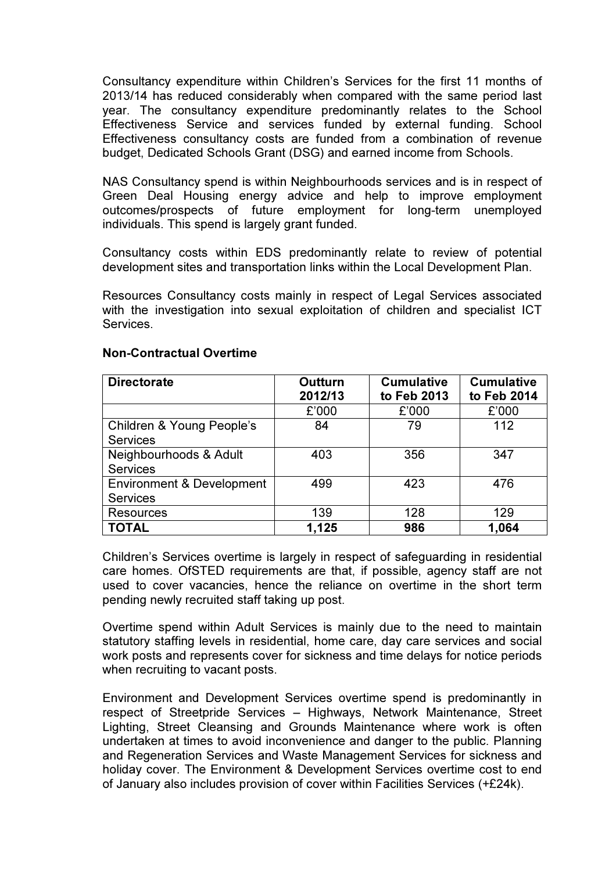Consultancy expenditure within Children's Services for the first 11 months of 2013/14 has reduced considerably when compared with the same period last year. The consultancy expenditure predominantly relates to the School Effectiveness Service and services funded by external funding. School Effectiveness consultancy costs are funded from a combination of revenue budget, Dedicated Schools Grant (DSG) and earned income from Schools.

NAS Consultancy spend is within Neighbourhoods services and is in respect of Green Deal Housing energy advice and help to improve employment outcomes/prospects of future employment for long-term unemployed individuals. This spend is largely grant funded.

Consultancy costs within EDS predominantly relate to review of potential development sites and transportation links within the Local Development Plan.

Resources Consultancy costs mainly in respect of Legal Services associated with the investigation into sexual exploitation of children and specialist ICT Services.

| <b>Directorate</b>                                      | <b>Outturn</b><br>2012/13 | <b>Cumulative</b><br>to Feb 2013 | <b>Cumulative</b><br>to Feb 2014 |
|---------------------------------------------------------|---------------------------|----------------------------------|----------------------------------|
|                                                         | £'000                     | £'000                            | £'000                            |
| Children & Young People's<br><b>Services</b>            | 84                        | 79                               | 112                              |
| Neighbourhoods & Adult<br><b>Services</b>               | 403                       | 356                              | 347                              |
| <b>Environment &amp; Development</b><br><b>Services</b> | 499                       | 423                              | 476                              |
| <b>Resources</b>                                        | 139                       | 128                              | 129                              |
| <b>TOTAL</b>                                            | 1,125                     | 986                              | 1,064                            |

#### Non-Contractual Overtime

Children's Services overtime is largely in respect of safeguarding in residential care homes. OfSTED requirements are that, if possible, agency staff are not used to cover vacancies, hence the reliance on overtime in the short term pending newly recruited staff taking up post.

Overtime spend within Adult Services is mainly due to the need to maintain statutory staffing levels in residential, home care, day care services and social work posts and represents cover for sickness and time delays for notice periods when recruiting to vacant posts.

Environment and Development Services overtime spend is predominantly in respect of Streetpride Services – Highways, Network Maintenance, Street Lighting, Street Cleansing and Grounds Maintenance where work is often undertaken at times to avoid inconvenience and danger to the public. Planning and Regeneration Services and Waste Management Services for sickness and holiday cover. The Environment & Development Services overtime cost to end of January also includes provision of cover within Facilities Services (+£24k).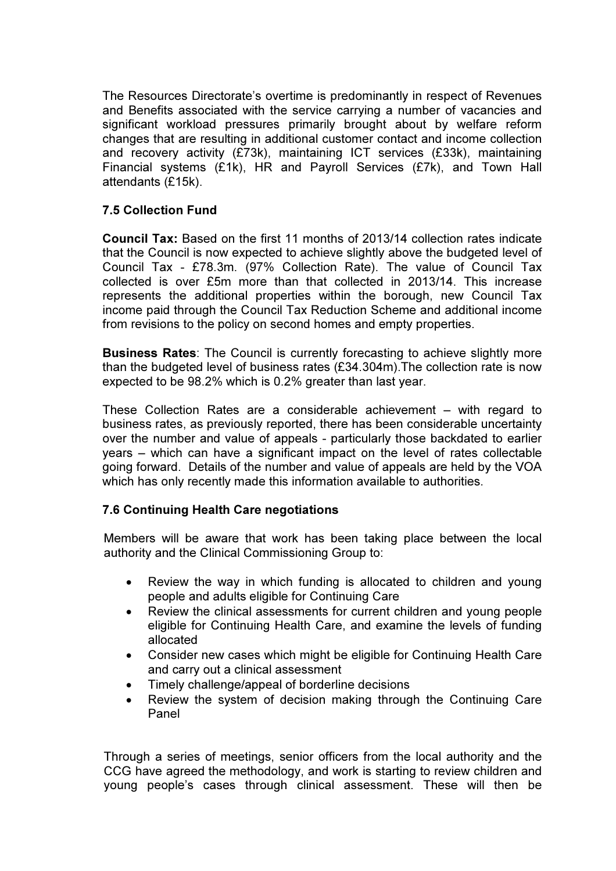The Resources Directorate's overtime is predominantly in respect of Revenues and Benefits associated with the service carrying a number of vacancies and significant workload pressures primarily brought about by welfare reform changes that are resulting in additional customer contact and income collection and recovery activity (£73k), maintaining ICT services (£33k), maintaining Financial systems (£1k), HR and Payroll Services (£7k), and Town Hall attendants (£15k).

# 7.5 Collection Fund

Council Tax: Based on the first 11 months of 2013/14 collection rates indicate that the Council is now expected to achieve slightly above the budgeted level of Council Tax - £78.3m. (97% Collection Rate). The value of Council Tax collected is over £5m more than that collected in 2013/14. This increase represents the additional properties within the borough, new Council Tax income paid through the Council Tax Reduction Scheme and additional income from revisions to the policy on second homes and empty properties.

Business Rates: The Council is currently forecasting to achieve slightly more than the budgeted level of business rates (£34.304m).The collection rate is now expected to be 98.2% which is 0.2% greater than last year.

These Collection Rates are a considerable achievement – with regard to business rates, as previously reported, there has been considerable uncertainty over the number and value of appeals - particularly those backdated to earlier years – which can have a significant impact on the level of rates collectable going forward. Details of the number and value of appeals are held by the VOA which has only recently made this information available to authorities.

# 7.6 Continuing Health Care negotiations

Members will be aware that work has been taking place between the local authority and the Clinical Commissioning Group to:

- Review the way in which funding is allocated to children and young people and adults eligible for Continuing Care
- Review the clinical assessments for current children and young people eligible for Continuing Health Care, and examine the levels of funding allocated
- Consider new cases which might be eligible for Continuing Health Care and carry out a clinical assessment
- Timely challenge/appeal of borderline decisions
- Review the system of decision making through the Continuing Care Panel

Through a series of meetings, senior officers from the local authority and the CCG have agreed the methodology, and work is starting to review children and young people's cases through clinical assessment. These will then be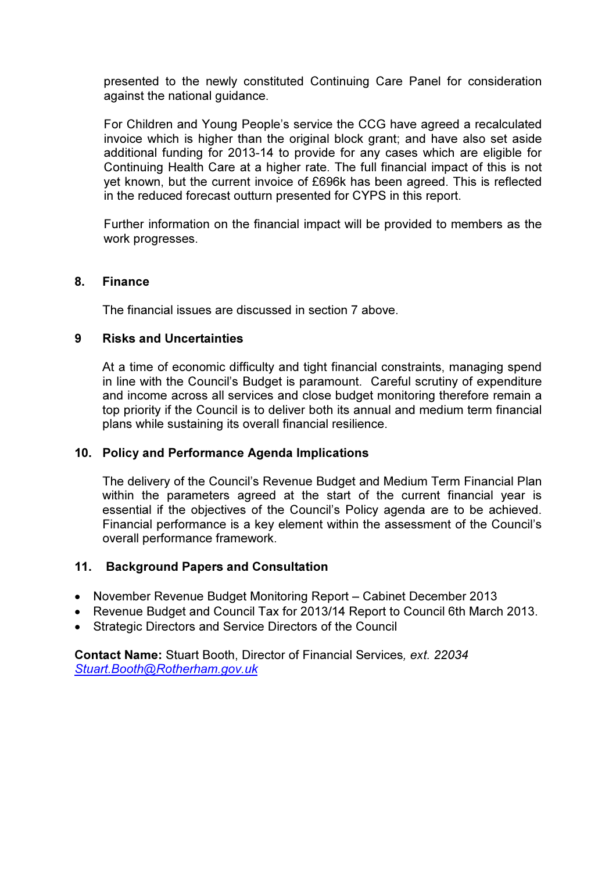presented to the newly constituted Continuing Care Panel for consideration against the national guidance.

For Children and Young People's service the CCG have agreed a recalculated invoice which is higher than the original block grant; and have also set aside additional funding for 2013-14 to provide for any cases which are eligible for Continuing Health Care at a higher rate. The full financial impact of this is not yet known, but the current invoice of £696k has been agreed. This is reflected in the reduced forecast outturn presented for CYPS in this report.

Further information on the financial impact will be provided to members as the work progresses.

#### 8. Finance

The financial issues are discussed in section 7 above.

#### 9 Risks and Uncertainties

At a time of economic difficulty and tight financial constraints, managing spend in line with the Council's Budget is paramount. Careful scrutiny of expenditure and income across all services and close budget monitoring therefore remain a top priority if the Council is to deliver both its annual and medium term financial plans while sustaining its overall financial resilience.

### 10. Policy and Performance Agenda Implications

The delivery of the Council's Revenue Budget and Medium Term Financial Plan within the parameters agreed at the start of the current financial year is essential if the objectives of the Council's Policy agenda are to be achieved. Financial performance is a key element within the assessment of the Council's overall performance framework.

### 11. Background Papers and Consultation

- November Revenue Budget Monitoring Report Cabinet December 2013
- Revenue Budget and Council Tax for 2013/14 Report to Council 6th March 2013.
- Strategic Directors and Service Directors of the Council

Contact Name: Stuart Booth, Director of Financial Services, ext. 22034 Stuart.Booth@Rotherham.gov.uk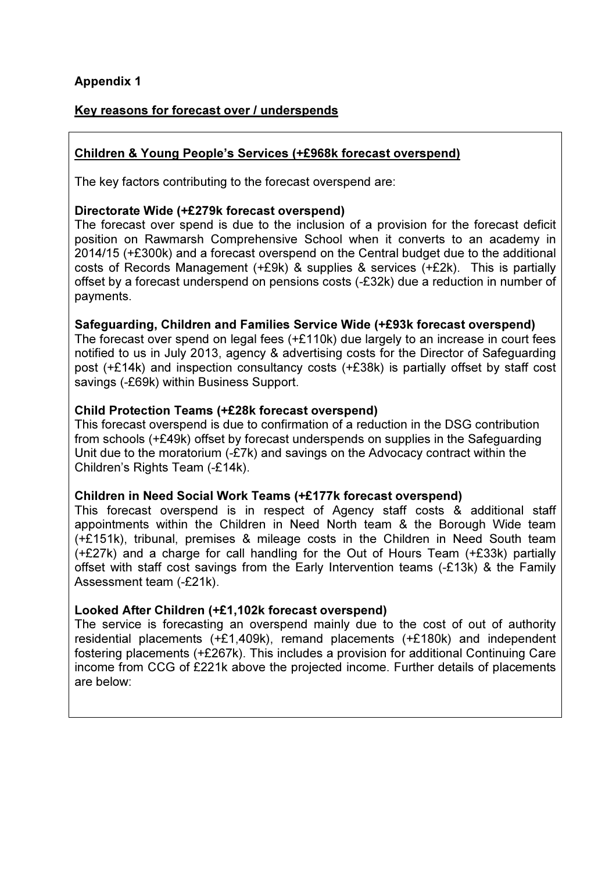# Appendix 1

## Key reasons for forecast over / underspends

# Children & Young People's Services (+£968k forecast overspend)

The key factors contributing to the forecast overspend are:

### Directorate Wide (+£279k forecast overspend)

The forecast over spend is due to the inclusion of a provision for the forecast deficit position on Rawmarsh Comprehensive School when it converts to an academy in 2014/15 (+£300k) and a forecast overspend on the Central budget due to the additional costs of Records Management (+£9k) & supplies & services (+£2k). This is partially offset by a forecast underspend on pensions costs (-£32k) due a reduction in number of payments.

## Safeguarding, Children and Families Service Wide (+£93k forecast overspend)

The forecast over spend on legal fees (+£110k) due largely to an increase in court fees notified to us in July 2013, agency & advertising costs for the Director of Safeguarding post (+£14k) and inspection consultancy costs (+£38k) is partially offset by staff cost savings (-£69k) within Business Support.

## Child Protection Teams (+£28k forecast overspend)

This forecast overspend is due to confirmation of a reduction in the DSG contribution from schools (+£49k) offset by forecast underspends on supplies in the Safeguarding Unit due to the moratorium (-£7k) and savings on the Advocacy contract within the Children's Rights Team (-£14k).

### Children in Need Social Work Teams (+£177k forecast overspend)

This forecast overspend is in respect of Agency staff costs & additional staff appointments within the Children in Need North team & the Borough Wide team (+£151k), tribunal, premises & mileage costs in the Children in Need South team (+£27k) and a charge for call handling for the Out of Hours Team (+£33k) partially offset with staff cost savings from the Early Intervention teams (-£13k) & the Family Assessment team (-£21k).

# Looked After Children (+£1,102k forecast overspend)

The service is forecasting an overspend mainly due to the cost of out of authority residential placements (+£1,409k), remand placements (+£180k) and independent fostering placements (+£267k). This includes a provision for additional Continuing Care income from CCG of £221k above the projected income. Further details of placements are below: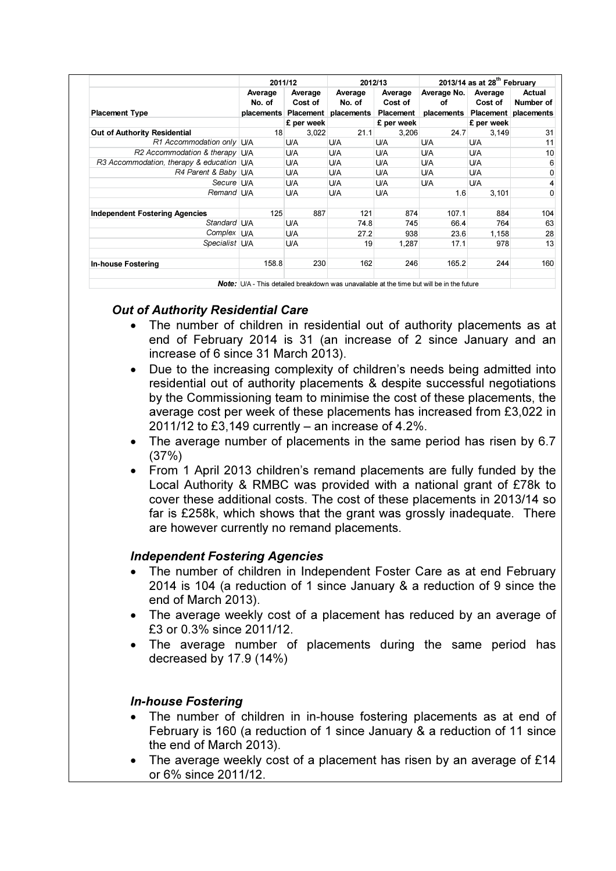|                                           | 2011/12           |                                            |                                 | 2012/13            | 2013/14 as at $28th$ February |                    |                                                        |
|-------------------------------------------|-------------------|--------------------------------------------|---------------------------------|--------------------|-------------------------------|--------------------|--------------------------------------------------------|
|                                           | Average<br>No. of | Average<br>Cost of<br>placements Placement | Average<br>No. of<br>placements | Average<br>Cost of | Average No.<br>οf             | Average<br>Cost of | Actual<br>Number of<br>placements Placement placements |
| <b>Placement Type</b>                     |                   |                                            |                                 | Placement          |                               |                    |                                                        |
|                                           |                   | £ per week                                 |                                 | £ per week         |                               | £ per week         |                                                        |
| Out of Authority Residential              | 18                | 3,022                                      | 21.1                            | 3,206              | 24.7                          | 3,149              | 31                                                     |
| R1 Accommodation only U/A                 |                   | U/A                                        | U/A                             | U/A                | <b>U/A</b>                    | U/A                | 11                                                     |
| R2 Accommodation & therapy U/A            |                   | U/A                                        | U/A                             | U/A                | <b>U/A</b>                    | U/A                | 10                                                     |
| R3 Accommodation, therapy & education U/A |                   | U/A                                        | U/A                             | U/A                | <b>U/A</b>                    | <b>U/A</b>         | 6                                                      |
| R4 Parent & Baby U/A                      |                   | U/A                                        | U/A                             | U/A                | U/A                           | U/A                | 0                                                      |
| Secure U/A                                |                   | U/A                                        | U/A                             | U/A                | U/A                           | U/A                |                                                        |
| Remand U/A                                |                   | U/A                                        | U/A                             | U/A                | 1.6                           | 3,101              | 0                                                      |
| <b>Independent Fostering Agencies</b>     | 125               | 887                                        | 121                             | 874                | 107.1                         | 884                | 104                                                    |
| Standard U/A                              |                   | U/A                                        | 74.8                            | 745                | 66.4                          | 764                | 63                                                     |
| Complex U/A                               |                   | U/A                                        | 27.2                            | 938                | 23.6                          | 1,158              | 28                                                     |
| Specialist U/A                            |                   | U/A                                        | 19                              | 1,287              | 17.1                          | 978                | 13                                                     |
| <b>In-house Fostering</b>                 | 158.8             | 230                                        | 162                             | 246                | 165.2                         | 244                | 160                                                    |

**Note:** U/A - This detailed breakdown was unavailable at the time but will be in the future

## Out of Authority Residential Care

- The number of children in residential out of authority placements as at end of February 2014 is 31 (an increase of 2 since January and an increase of 6 since 31 March 2013).
- Due to the increasing complexity of children's needs being admitted into residential out of authority placements & despite successful negotiations by the Commissioning team to minimise the cost of these placements, the average cost per week of these placements has increased from £3,022 in 2011/12 to £3,149 currently – an increase of 4.2%.
- The average number of placements in the same period has risen by 6.7 (37%)
- From 1 April 2013 children's remand placements are fully funded by the Local Authority & RMBC was provided with a national grant of £78k to cover these additional costs. The cost of these placements in 2013/14 so far is £258k, which shows that the grant was grossly inadequate. There are however currently no remand placements.

### Independent Fostering Agencies

- The number of children in Independent Foster Care as at end February 2014 is 104 (a reduction of 1 since January & a reduction of 9 since the end of March 2013).
- The average weekly cost of a placement has reduced by an average of £3 or 0.3% since 2011/12.
- The average number of placements during the same period has decreased by 17.9 (14%)

### In-house Fostering

- The number of children in in-house fostering placements as at end of February is 160 (a reduction of 1 since January & a reduction of 11 since the end of March 2013).
- The average weekly cost of a placement has risen by an average of £14 or 6% since 2011/12.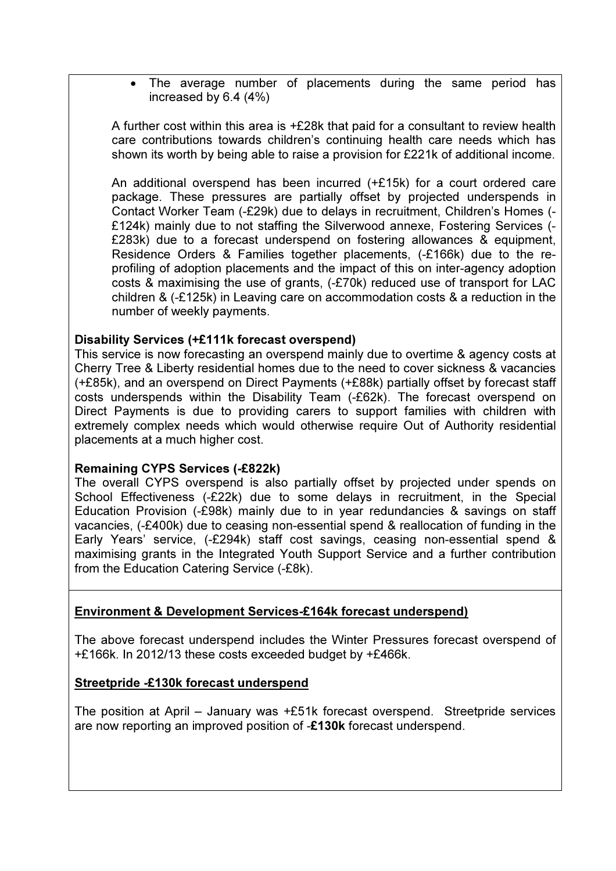• The average number of placements during the same period has increased by 6.4 (4%)

A further cost within this area is +£28k that paid for a consultant to review health care contributions towards children's continuing health care needs which has shown its worth by being able to raise a provision for £221k of additional income.

An additional overspend has been incurred (+£15k) for a court ordered care package. These pressures are partially offset by projected underspends in Contact Worker Team (-£29k) due to delays in recruitment, Children's Homes (- £124k) mainly due to not staffing the Silverwood annexe, Fostering Services (- £283k) due to a forecast underspend on fostering allowances & equipment, Residence Orders & Families together placements, (-£166k) due to the reprofiling of adoption placements and the impact of this on inter-agency adoption costs & maximising the use of grants, (-£70k) reduced use of transport for LAC children & (-£125k) in Leaving care on accommodation costs & a reduction in the number of weekly payments.

## Disability Services (+£111k forecast overspend)

This service is now forecasting an overspend mainly due to overtime & agency costs at Cherry Tree & Liberty residential homes due to the need to cover sickness & vacancies (+£85k), and an overspend on Direct Payments (+£88k) partially offset by forecast staff costs underspends within the Disability Team (-£62k). The forecast overspend on Direct Payments is due to providing carers to support families with children with extremely complex needs which would otherwise require Out of Authority residential placements at a much higher cost.

### Remaining CYPS Services (-£822k)

The overall CYPS overspend is also partially offset by projected under spends on School Effectiveness (-£22k) due to some delays in recruitment, in the Special Education Provision (-£98k) mainly due to in year redundancies & savings on staff vacancies, (-£400k) due to ceasing non-essential spend & reallocation of funding in the Early Years' service, (-£294k) staff cost savings, ceasing non-essential spend & maximising grants in the Integrated Youth Support Service and a further contribution from the Education Catering Service (-£8k).

# Environment & Development Services-£164k forecast underspend)

The above forecast underspend includes the Winter Pressures forecast overspend of +£166k. In 2012/13 these costs exceeded budget by +£466k.

### Streetpride -£130k forecast underspend

The position at April – January was +£51k forecast overspend. Streetpride services are now reporting an improved position of -£130k forecast underspend.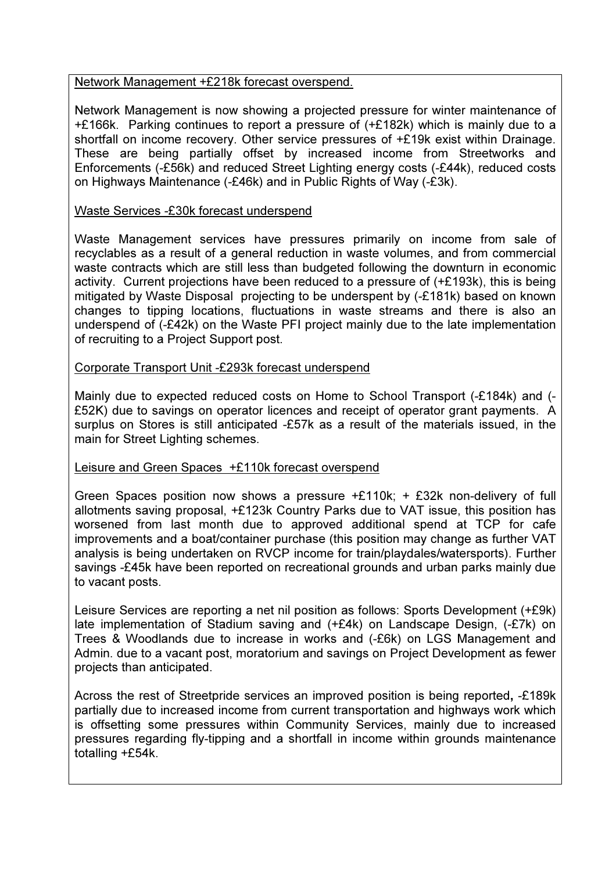### Network Management +£218k forecast overspend.

Network Management is now showing a projected pressure for winter maintenance of +£166k. Parking continues to report a pressure of (+£182k) which is mainly due to a shortfall on income recovery. Other service pressures of +£19k exist within Drainage. These are being partially offset by increased income from Streetworks and Enforcements (-£56k) and reduced Street Lighting energy costs (-£44k), reduced costs on Highways Maintenance (-£46k) and in Public Rights of Way (-£3k).

### Waste Services -£30k forecast underspend

Waste Management services have pressures primarily on income from sale of recyclables as a result of a general reduction in waste volumes, and from commercial waste contracts which are still less than budgeted following the downturn in economic activity. Current projections have been reduced to a pressure of  $(+£193k)$ , this is being mitigated by Waste Disposal projecting to be underspent by (-£181k) based on known changes to tipping locations, fluctuations in waste streams and there is also an underspend of (-£42k) on the Waste PFI project mainly due to the late implementation of recruiting to a Project Support post.

## Corporate Transport Unit -£293k forecast underspend

Mainly due to expected reduced costs on Home to School Transport (-£184k) and (- £52K) due to savings on operator licences and receipt of operator grant payments. A surplus on Stores is still anticipated -£57k as a result of the materials issued, in the main for Street Lighting schemes.

# Leisure and Green Spaces +£110k forecast overspend

Green Spaces position now shows a pressure +£110k; + £32k non-delivery of full allotments saving proposal, +£123k Country Parks due to VAT issue, this position has worsened from last month due to approved additional spend at TCP for cafe improvements and a boat/container purchase (this position may change as further VAT analysis is being undertaken on RVCP income for train/playdales/watersports). Further savings -£45k have been reported on recreational grounds and urban parks mainly due to vacant posts.

Leisure Services are reporting a net nil position as follows: Sports Development (+£9k) late implementation of Stadium saving and (+£4k) on Landscape Design, (-£7k) on Trees & Woodlands due to increase in works and (-£6k) on LGS Management and Admin. due to a vacant post, moratorium and savings on Project Development as fewer projects than anticipated.

Across the rest of Streetpride services an improved position is being reported, -£189k partially due to increased income from current transportation and highways work which is offsetting some pressures within Community Services, mainly due to increased pressures regarding fly-tipping and a shortfall in income within grounds maintenance totalling +£54k.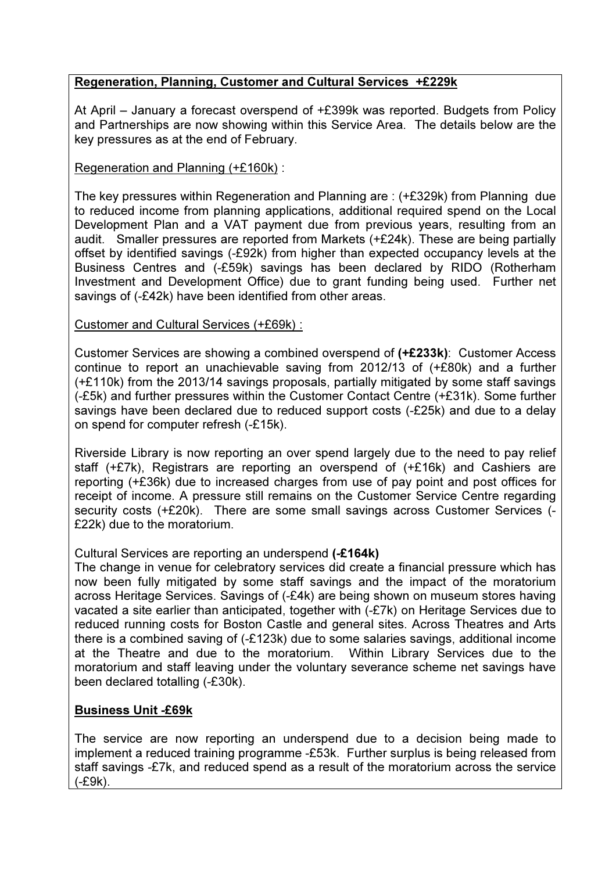# Regeneration, Planning, Customer and Cultural Services +£229k

At April – January a forecast overspend of +£399k was reported. Budgets from Policy and Partnerships are now showing within this Service Area. The details below are the key pressures as at the end of February.

## Regeneration and Planning (+£160k) :

The key pressures within Regeneration and Planning are : (+£329k) from Planning due to reduced income from planning applications, additional required spend on the Local Development Plan and a VAT payment due from previous years, resulting from an audit. Smaller pressures are reported from Markets (+£24k). These are being partially offset by identified savings (-£92k) from higher than expected occupancy levels at the Business Centres and (-£59k) savings has been declared by RIDO (Rotherham Investment and Development Office) due to grant funding being used. Further net savings of (-£42k) have been identified from other areas.

### Customer and Cultural Services (+£69k) :

Customer Services are showing a combined overspend of (+£233k): Customer Access continue to report an unachievable saving from 2012/13 of (+£80k) and a further (+£110k) from the 2013/14 savings proposals, partially mitigated by some staff savings (-£5k) and further pressures within the Customer Contact Centre (+£31k). Some further savings have been declared due to reduced support costs (-£25k) and due to a delay on spend for computer refresh (-£15k).

Riverside Library is now reporting an over spend largely due to the need to pay relief staff (+£7k), Registrars are reporting an overspend of (+£16k) and Cashiers are reporting (+£36k) due to increased charges from use of pay point and post offices for receipt of income. A pressure still remains on the Customer Service Centre regarding security costs (+£20k). There are some small savings across Customer Services (- £22k) due to the moratorium.

### Cultural Services are reporting an underspend (-£164k)

The change in venue for celebratory services did create a financial pressure which has now been fully mitigated by some staff savings and the impact of the moratorium across Heritage Services. Savings of (-£4k) are being shown on museum stores having vacated a site earlier than anticipated, together with (-£7k) on Heritage Services due to reduced running costs for Boston Castle and general sites. Across Theatres and Arts there is a combined saving of (-£123k) due to some salaries savings, additional income at the Theatre and due to the moratorium. Within Library Services due to the moratorium and staff leaving under the voluntary severance scheme net savings have been declared totalling (-£30k).

# Business Unit -£69k

The service are now reporting an underspend due to a decision being made to implement a reduced training programme -£53k. Further surplus is being released from staff savings -£7k, and reduced spend as a result of the moratorium across the service (-£9k).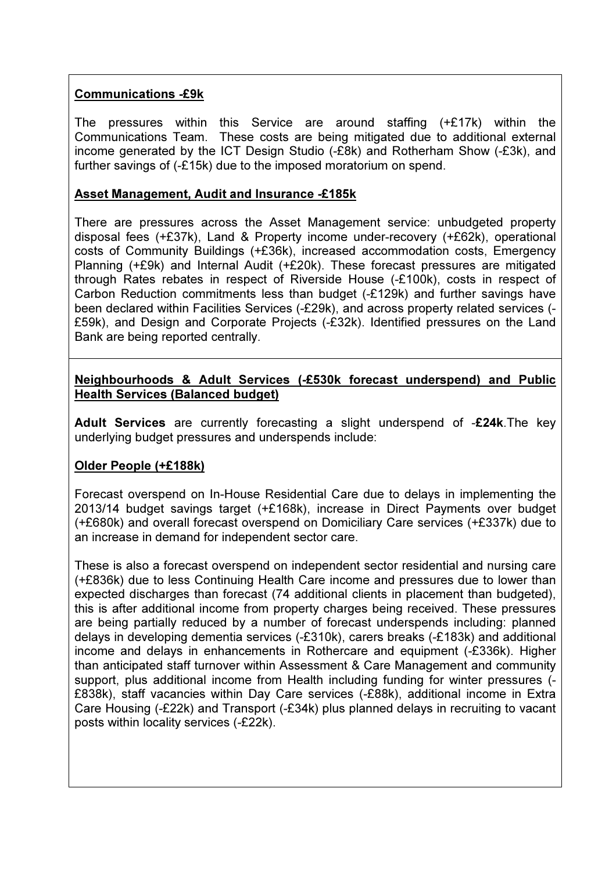## Communications -£9k

The pressures within this Service are around staffing (+£17k) within the Communications Team. These costs are being mitigated due to additional external income generated by the ICT Design Studio (-£8k) and Rotherham Show (-£3k), and further savings of (-£15k) due to the imposed moratorium on spend.

### Asset Management, Audit and Insurance -£185k

There are pressures across the Asset Management service: unbudgeted property disposal fees (+£37k), Land & Property income under-recovery (+£62k), operational costs of Community Buildings (+£36k), increased accommodation costs, Emergency Planning (+£9k) and Internal Audit (+£20k). These forecast pressures are mitigated through Rates rebates in respect of Riverside House (-£100k), costs in respect of Carbon Reduction commitments less than budget (-£129k) and further savings have been declared within Facilities Services (-£29k), and across property related services (- £59k), and Design and Corporate Projects (-£32k). Identified pressures on the Land Bank are being reported centrally.

### Neighbourhoods & Adult Services (-£530k forecast underspend) and Public **Health Services (Balanced budget)**

Adult Services are currently forecasting a slight underspend of -£24k.The key underlying budget pressures and underspends include:

# Older People (+£188k)

Forecast overspend on In-House Residential Care due to delays in implementing the 2013/14 budget savings target (+£168k), increase in Direct Payments over budget (+£680k) and overall forecast overspend on Domiciliary Care services (+£337k) due to an increase in demand for independent sector care.

These is also a forecast overspend on independent sector residential and nursing care (+£836k) due to less Continuing Health Care income and pressures due to lower than expected discharges than forecast (74 additional clients in placement than budgeted), this is after additional income from property charges being received. These pressures are being partially reduced by a number of forecast underspends including: planned delays in developing dementia services (-£310k), carers breaks (-£183k) and additional income and delays in enhancements in Rothercare and equipment (-£336k). Higher than anticipated staff turnover within Assessment & Care Management and community support, plus additional income from Health including funding for winter pressures (- £838k), staff vacancies within Day Care services (-£88k), additional income in Extra Care Housing (-£22k) and Transport (-£34k) plus planned delays in recruiting to vacant posts within locality services (-£22k).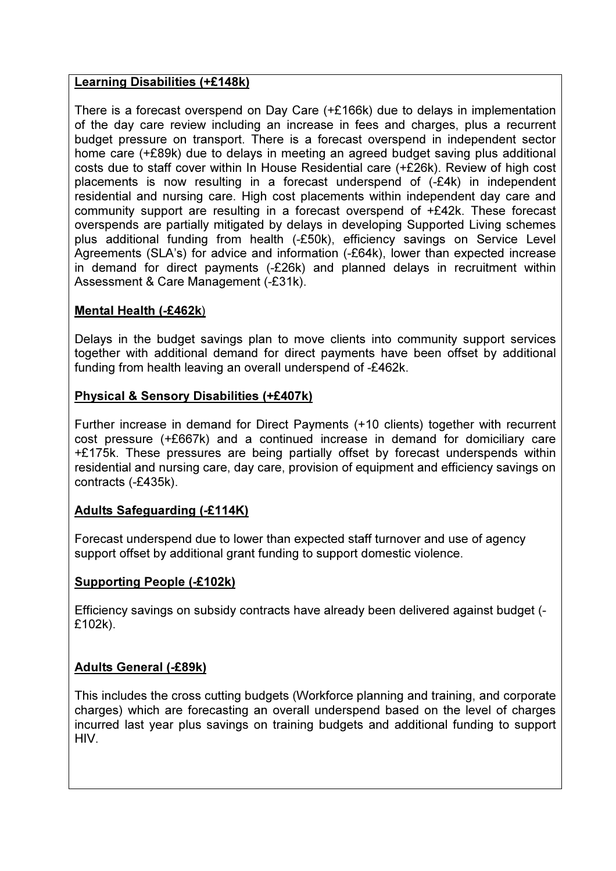## Learning Disabilities (+£148k)

There is a forecast overspend on Day Care (+£166k) due to delays in implementation of the day care review including an increase in fees and charges, plus a recurrent budget pressure on transport. There is a forecast overspend in independent sector home care (+£89k) due to delays in meeting an agreed budget saving plus additional costs due to staff cover within In House Residential care (+£26k). Review of high cost placements is now resulting in a forecast underspend of (-£4k) in independent residential and nursing care. High cost placements within independent day care and community support are resulting in a forecast overspend of +£42k. These forecast overspends are partially mitigated by delays in developing Supported Living schemes plus additional funding from health (-£50k), efficiency savings on Service Level Agreements (SLA's) for advice and information (-£64k), lower than expected increase in demand for direct payments (-£26k) and planned delays in recruitment within Assessment & Care Management (-£31k).

## Mental Health (-£462k)

Delays in the budget savings plan to move clients into community support services together with additional demand for direct payments have been offset by additional funding from health leaving an overall underspend of -£462k.

## Physical & Sensory Disabilities (+£407k)

Further increase in demand for Direct Payments (+10 clients) together with recurrent cost pressure (+£667k) and a continued increase in demand for domiciliary care +£175k. These pressures are being partially offset by forecast underspends within residential and nursing care, day care, provision of equipment and efficiency savings on contracts (-£435k).

### Adults Safeguarding (-£114K)

Forecast underspend due to lower than expected staff turnover and use of agency support offset by additional grant funding to support domestic violence.

### Supporting People (-£102k)

Efficiency savings on subsidy contracts have already been delivered against budget (- £102k).

### Adults General (-£89k)

This includes the cross cutting budgets (Workforce planning and training, and corporate charges) which are forecasting an overall underspend based on the level of charges incurred last year plus savings on training budgets and additional funding to support HIV.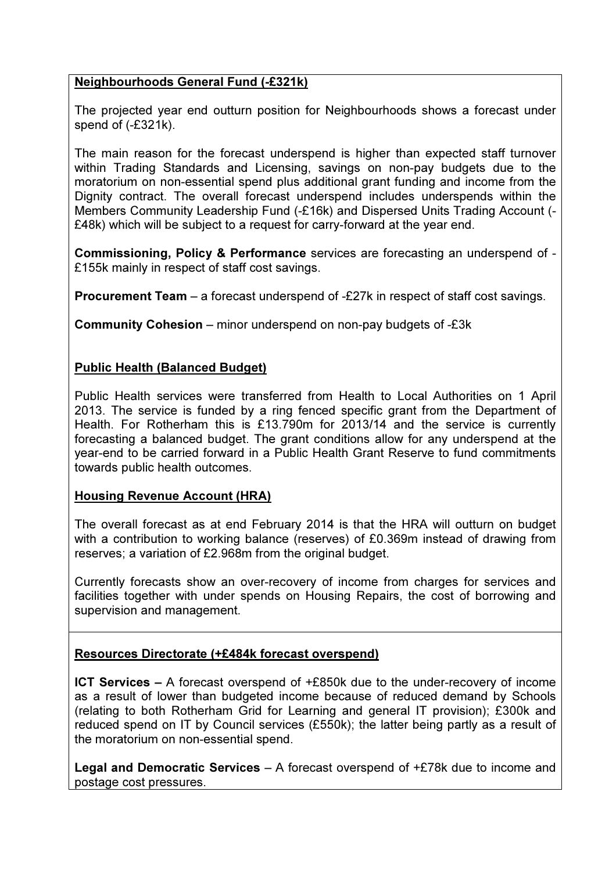# Neighbourhoods General Fund (-£321k)

The projected year end outturn position for Neighbourhoods shows a forecast under spend of (-£321k).

The main reason for the forecast underspend is higher than expected staff turnover within Trading Standards and Licensing, savings on non-pay budgets due to the moratorium on non-essential spend plus additional grant funding and income from the Dignity contract. The overall forecast underspend includes underspends within the Members Community Leadership Fund (-£16k) and Dispersed Units Trading Account (- £48k) which will be subject to a request for carry-forward at the year end.

Commissioning, Policy & Performance services are forecasting an underspend of - £155k mainly in respect of staff cost savings.

Procurement Team – a forecast underspend of -£27k in respect of staff cost savings.

Community Cohesion – minor underspend on non-pay budgets of -£3k

# Public Health (Balanced Budget)

Public Health services were transferred from Health to Local Authorities on 1 April 2013. The service is funded by a ring fenced specific grant from the Department of Health. For Rotherham this is £13.790m for 2013/14 and the service is currently forecasting a balanced budget. The grant conditions allow for any underspend at the year-end to be carried forward in a Public Health Grant Reserve to fund commitments towards public health outcomes.

# Housing Revenue Account (HRA)

The overall forecast as at end February 2014 is that the HRA will outturn on budget with a contribution to working balance (reserves) of £0.369m instead of drawing from reserves; a variation of £2.968m from the original budget.

Currently forecasts show an over-recovery of income from charges for services and facilities together with under spends on Housing Repairs, the cost of borrowing and supervision and management.

# Resources Directorate (+£484k forecast overspend)

**ICT Services** – A forecast overspend of  $+E850k$  due to the under-recovery of income as a result of lower than budgeted income because of reduced demand by Schools (relating to both Rotherham Grid for Learning and general IT provision); £300k and reduced spend on IT by Council services (£550k); the latter being partly as a result of the moratorium on non-essential spend.

**Legal and Democratic Services** – A forecast overspend of  $+E78k$  due to income and postage cost pressures.